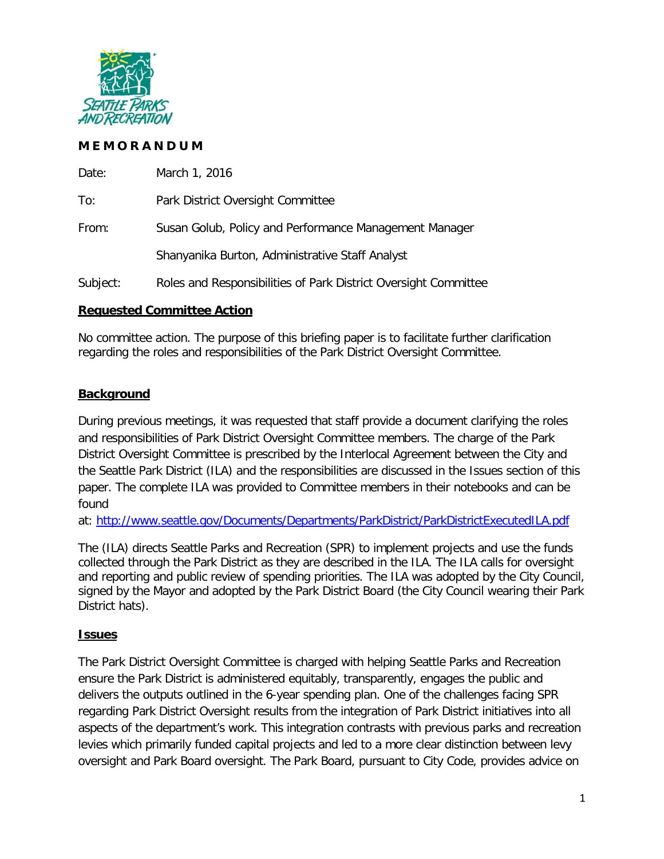

# **M E M O R A N D U M**

| Date:    | March 1, 2016                                                   |
|----------|-----------------------------------------------------------------|
| To:      | Park District Oversight Committee                               |
| From:    | Susan Golub, Policy and Performance Management Manager          |
|          | Shanyanika Burton, Administrative Staff Analyst                 |
| Subject: | Roles and Responsibilities of Park District Oversight Committee |

## **Requested Committee Action**

No committee action. The purpose of this briefing paper is to facilitate further clarification regarding the roles and responsibilities of the Park District Oversight Committee.

# **Background**

During previous meetings, it was requested that staff provide a document clarifying the roles and responsibilities of Park District Oversight Committee members. The charge of the Park District Oversight Committee is prescribed by the Interlocal Agreement between the City and the Seattle Park District (ILA) and the responsibilities are discussed in the Issues section of this paper. The complete ILA was provided to Committee members in their notebooks and can be found

at: http://www.seattle.gov/Documents/Departments/ParkDistrict/ParkDistrictExecutedILA.pdf

The (ILA) directs Seattle Parks and Recreation (SPR) to implement projects and use the funds collected through the Park District as they are described in the ILA. The ILA calls for oversight and reporting and public review of spending priorities. The ILA was adopted by the City Council, signed by the Mayor and adopted by the Park District Board (the City Council wearing their Park District hats).

# **Issues**

The Park District Oversight Committee is charged with helping Seattle Parks and Recreation ensure the Park District is administered equitably, transparently, engages the public and delivers the outputs outlined in the 6-year spending plan. One of the challenges facing SPR regarding Park District Oversight results from the integration of Park District initiatives into all aspects of the department's work. This integration contrasts with previous parks and recreation levies which primarily funded capital projects and led to a more clear distinction between levy oversight and Park Board oversight. The Park Board, pursuant to City Code, provides advice on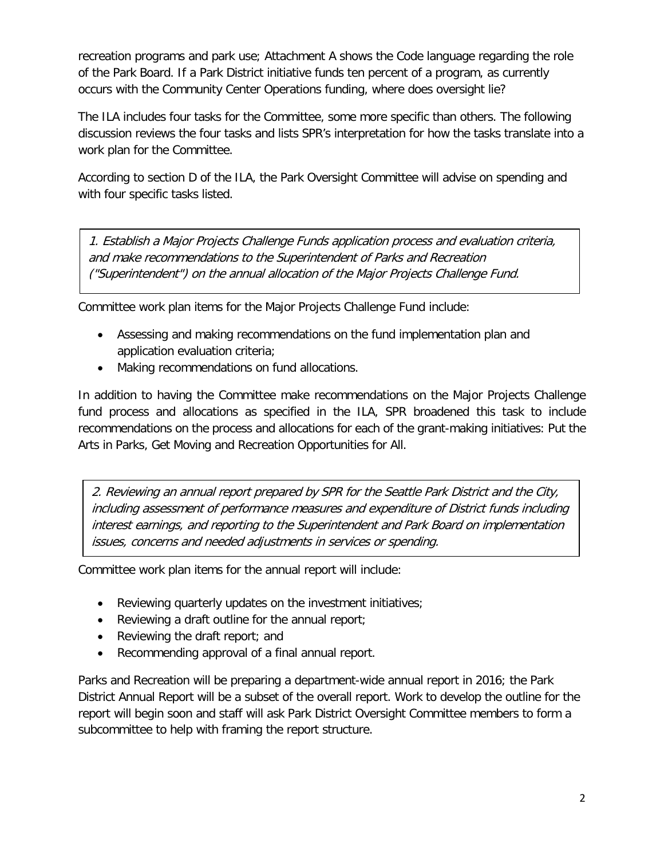recreation programs and park use; Attachment A shows the Code language regarding the role of the Park Board. If a Park District initiative funds ten percent of a program, as currently occurs with the Community Center Operations funding, where does oversight lie?

The ILA includes four tasks for the Committee, some more specific than others. The following discussion reviews the four tasks and lists SPR's interpretation for how the tasks translate into a work plan for the Committee.

According to section D of the ILA, the Park Oversight Committee will advise on spending and with four specific tasks listed.

1. Establish a Major Projects Challenge Funds application process and evaluation criteria, and make recommendations to the Superintendent of Parks and Recreation ("Superintendent") on the annual allocation of the Major Projects Challenge Fund.

Committee work plan items for the Major Projects Challenge Fund include:

- Assessing and making recommendations on the fund implementation plan and application evaluation criteria;
- Making recommendations on fund allocations.

In addition to having the Committee make recommendations on the Major Projects Challenge fund process and allocations as specified in the ILA, SPR broadened this task to include recommendations on the process and allocations for each of the grant-making initiatives: Put the Arts in Parks, Get Moving and Recreation Opportunities for All.

2. Reviewing an annual report prepared by SPR for the Seattle Park District and the City, including assessment of performance measures and expenditure of District funds including interest earnings, and reporting to the Superintendent and Park Board on implementation issues, concerns and needed adjustments in services or spending.

Committee work plan items for the annual report will include:

- Reviewing quarterly updates on the investment initiatives;
- Reviewing a draft outline for the annual report;
- Reviewing the draft report; and
- Recommending approval of a final annual report.

Parks and Recreation will be preparing a department-wide annual report in 2016; the Park District Annual Report will be a subset of the overall report. Work to develop the outline for the report will begin soon and staff will ask Park District Oversight Committee members to form a subcommittee to help with framing the report structure.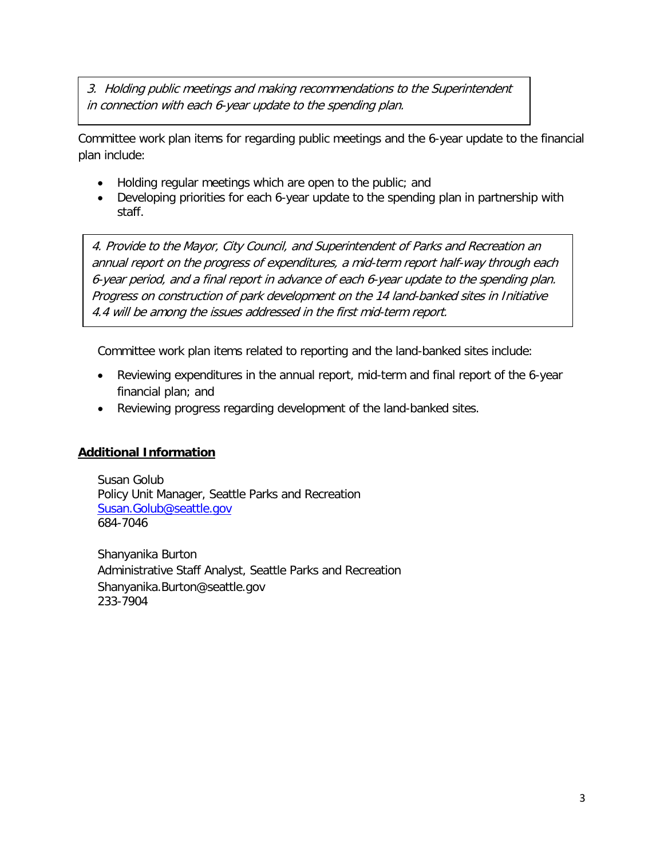3. Holding public meetings and making recommendations to the Superintendent in connection with each 6-year update to the spending plan.

Committee work plan items for regarding public meetings and the 6-year update to the financial plan include:

- Holding regular meetings which are open to the public; and
- Developing priorities for each 6-year update to the spending plan in partnership with staff.

4. Provide to the Mayor, City Council, and Superintendent of Parks and Recreation an annual report on the progress of expenditures, a mid-term report half-way through each 6-year period, and a final report in advance of each 6-year update to the spending plan. Progress on construction of park development on the 14 land-banked sites in Initiative 4.4 will be among the issues addressed in the first mid-term report.

Committee work plan items related to reporting and the land-banked sites include:

- Reviewing expenditures in the annual report, mid-term and final report of the 6-year financial plan; and
- Reviewing progress regarding development of the land-banked sites.

## **Additional Information**

Susan Golub Policy Unit Manager, Seattle Parks and Recreation [Susan.Golub@seattle.gov](mailto:Susan.Golub@seattle.gov) 684-7046

Shanyanika Burton Administrative Staff Analyst, Seattle Parks and Recreation [Shanyanika.Burton@seattle.gov](mailto:Shanyanika.Burton@seattle.gov)  233-7904